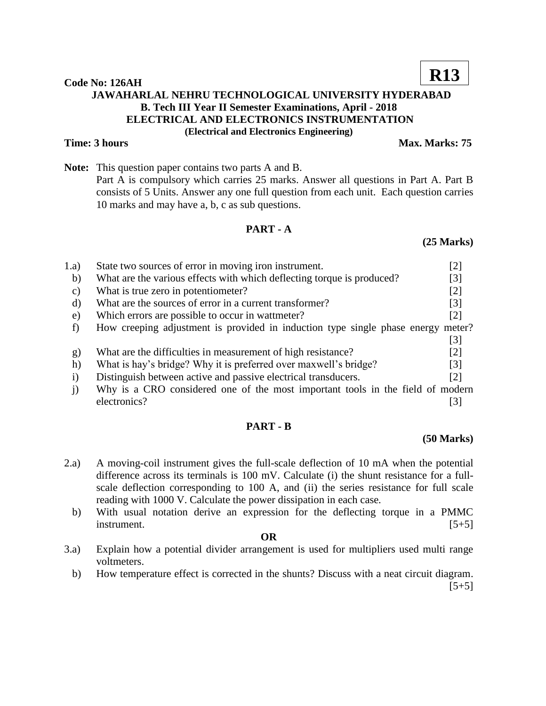# **JAWAHARLAL NEHRU TECHNOLOGICAL UNIVERSITY HYDERABAD B. Tech III Year II Semester Examinations, April - 2018 ELECTRICAL AND ELECTRONICS INSTRUMENTATION (Electrical and Electronics Engineering)**

### **Time: 3 hours Max. Marks: 75**

**Note:** This question paper contains two parts A and B. Part A is compulsory which carries 25 marks. Answer all questions in Part A. Part B consists of 5 Units. Answer any one full question from each unit. Each question carries 10 marks and may have a, b, c as sub questions.

### **PART - A**

# 1.a) State two sources of error in moving iron instrument. [2] b) What are the various effects with which deflecting torque is produced? [3] c) What is true zero in potentiometer? [2] d) What are the sources of error in a current transformer? [3] e) Which errors are possible to occur in wattmeter? [2] f) How creeping adjustment is provided in induction type single phase energy meter? [3] g) What are the difficulties in measurement of high resistance? [2] h) What is hay's bridge? Why it is preferred over maxwell's bridge? [3] i) Distinguish between active and passive electrical transducers. [2] j) Why is a CRO considered one of the most important tools in the field of modern

## **PART - B**

electronics? [3]

### **(50 Marks)**

- 2.a) A moving-coil instrument gives the full-scale deflection of 10 mA when the potential difference across its terminals is 100 mV. Calculate (i) the shunt resistance for a fullscale deflection corresponding to 100 A, and (ii) the series resistance for full scale reading with 1000 V. Calculate the power dissipation in each case*.*
	- b) With usual notation derive an expression for the deflecting torque in a PMMC instrument. [5+5]
		- **OR**
- 3.a) Explain how a potential divider arrangement is used for multipliers used multi range voltmeters.
	- b) How temperature effect is corrected in the shunts? Discuss with a neat circuit diagram.  $[5+5]$

**Code No: 126AH**

**R13**

**(25 Marks)**